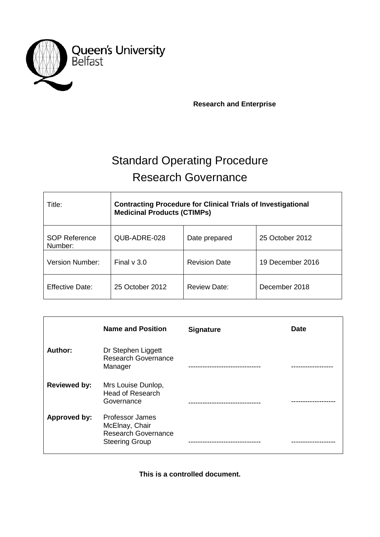

 **Research and Enterprise**

# Standard Operating Procedure Research Governance

| Title:                          | <b>Contracting Procedure for Clinical Trials of Investigational</b><br><b>Medicinal Products (CTIMPs)</b> |                      |                  |
|---------------------------------|-----------------------------------------------------------------------------------------------------------|----------------------|------------------|
| <b>SOP Reference</b><br>Number: | QUB-ADRE-028                                                                                              | Date prepared        | 25 October 2012  |
| <b>Version Number:</b>          | Final $v$ 3.0                                                                                             | <b>Revision Date</b> | 19 December 2016 |
| Effective Date:                 | 25 October 2012                                                                                           | Review Date:         | December 2018    |

|                     | <b>Name and Position</b>                                                                        | <b>Signature</b> | <b>Date</b> |
|---------------------|-------------------------------------------------------------------------------------------------|------------------|-------------|
| Author:             | Dr Stephen Liggett<br><b>Research Governance</b><br>Manager                                     |                  |             |
| <b>Reviewed by:</b> | Mrs Louise Dunlop,<br><b>Head of Research</b><br>Governance                                     |                  |             |
| Approved by:        | <b>Professor James</b><br>McElnay, Chair<br><b>Research Governance</b><br><b>Steering Group</b> |                  |             |

**This is a controlled document.**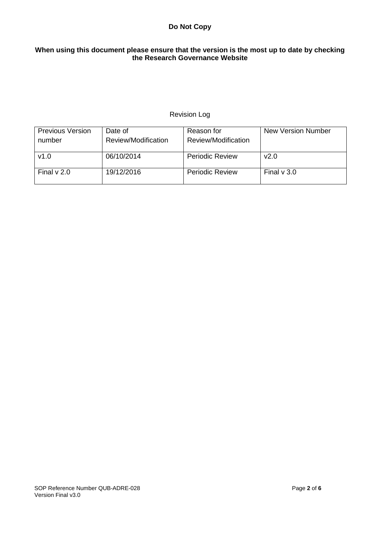# **Do Not Copy**

# **When using this document please ensure that the version is the most up to date by checking the Research Governance Website**

# Revision Log

| <b>Previous Version</b><br>number | Date of<br>Review/Modification | Reason for<br>Review/Modification | <b>New Version Number</b> |
|-----------------------------------|--------------------------------|-----------------------------------|---------------------------|
| v1.0                              | 06/10/2014                     | <b>Periodic Review</b>            | v2.0                      |
| Final $\vee$ 2.0                  | 19/12/2016                     | <b>Periodic Review</b>            | Final $\vee$ 3.0          |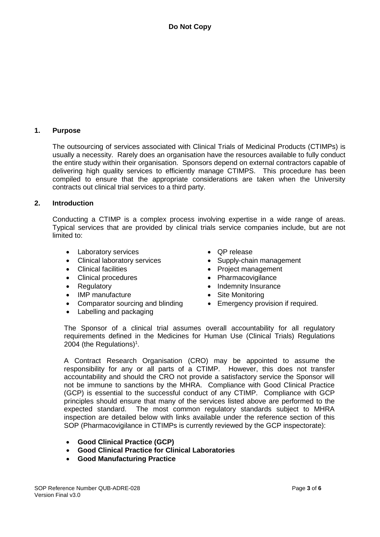# **1. Purpose**

The outsourcing of services associated with Clinical Trials of Medicinal Products (CTIMPs) is usually a necessity. Rarely does an organisation have the resources available to fully conduct the entire study within their organisation. Sponsors depend on external contractors capable of delivering high quality services to efficiently manage CTIMPS. This procedure has been compiled to ensure that the appropriate considerations are taken when the University contracts out clinical trial services to a third party.

#### **2. Introduction**

Conducting a CTIMP is a complex process involving expertise in a wide range of areas. Typical services that are provided by clinical trials service companies include, but are not limited to:

- Laboratory services
- Clinical laboratory services
- Clinical facilities
- Clinical procedures
- Regulatory
- IMP manufacture
- Comparator sourcing and blinding
- Labelling and packaging
- QP release
- Supply-chain management
- Project management
- Pharmacovigilance
- Indemnity Insurance
- Site Monitoring
- Emergency provision if required.

The Sponsor of a clinical trial assumes overall accountability for all regulatory requirements defined in the Medicines for Human Use (Clinical Trials) Regulations 2004 (the Regulations)<sup>1</sup>.

A Contract Research Organisation (CRO) may be appointed to assume the responsibility for any or all parts of a CTIMP. However, this does not transfer accountability and should the CRO not provide a satisfactory service the Sponsor will not be immune to sanctions by the MHRA. Compliance with Good Clinical Practice (GCP) is essential to the successful conduct of any CTIMP. Compliance with GCP principles should ensure that many of the services listed above are performed to the expected standard. The most common regulatory standards subject to MHRA inspection are detailed below with links available under the reference section of this SOP (Pharmacovigilance in CTIMPs is currently reviewed by the GCP inspectorate):

- **Good Clinical Practice (GCP)**
- **Good Clinical Practice for Clinical Laboratories**
- **Good Manufacturing Practice**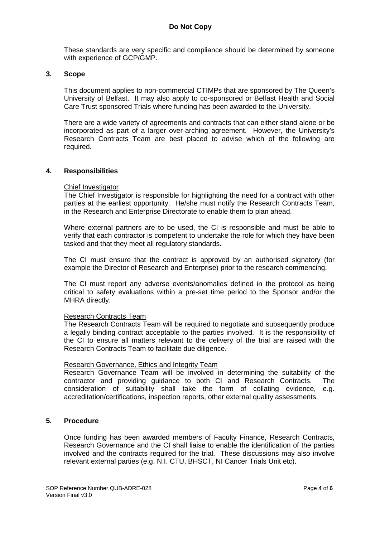These standards are very specific and compliance should be determined by someone with experience of GCP/GMP.

#### **3. Scope**

This document applies to non-commercial CTIMPs that are sponsored by The Queen's University of Belfast. It may also apply to co-sponsored or Belfast Health and Social Care Trust sponsored Trials where funding has been awarded to the University.

There are a wide variety of agreements and contracts that can either stand alone or be incorporated as part of a larger over-arching agreement. However, the University's Research Contracts Team are best placed to advise which of the following are required.

#### **4. Responsibilities**

#### Chief Investigator

The Chief Investigator is responsible for highlighting the need for a contract with other parties at the earliest opportunity. He/she must notify the Research Contracts Team, in the Research and Enterprise Directorate to enable them to plan ahead.

Where external partners are to be used, the CI is responsible and must be able to verify that each contractor is competent to undertake the role for which they have been tasked and that they meet all regulatory standards.

The CI must ensure that the contract is approved by an authorised signatory (for example the Director of Research and Enterprise) prior to the research commencing.

The CI must report any adverse events/anomalies defined in the protocol as being critical to safety evaluations within a pre-set time period to the Sponsor and/or the MHRA directly.

#### Research Contracts Team

The Research Contracts Team will be required to negotiate and subsequently produce a legally binding contract acceptable to the parties involved. It is the responsibility of the CI to ensure all matters relevant to the delivery of the trial are raised with the Research Contracts Team to facilitate due diligence.

#### Research Governance, Ethics and Integrity Team

Research Governance Team will be involved in determining the suitability of the contractor and providing guidance to both CI and Research Contracts. The consideration of suitability shall take the form of collating evidence, e.g. accreditation/certifications, inspection reports, other external quality assessments.

#### **5. Procedure**

Once funding has been awarded members of Faculty Finance, Research Contracts, Research Governance and the CI shall liaise to enable the identification of the parties involved and the contracts required for the trial. These discussions may also involve relevant external parties (e.g. N.I. CTU, BHSCT, NI Cancer Trials Unit etc).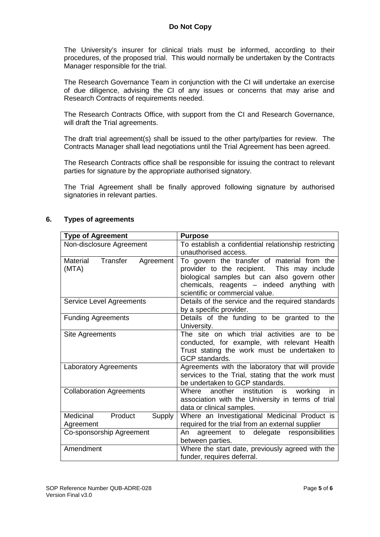The University's insurer for clinical trials must be informed, according to their procedures, of the proposed trial. This would normally be undertaken by the Contracts Manager responsible for the trial.

The Research Governance Team in conjunction with the CI will undertake an exercise of due diligence, advising the CI of any issues or concerns that may arise and Research Contracts of requirements needed.

The Research Contracts Office, with support from the CI and Research Governance, will draft the Trial agreements.

The draft trial agreement(s) shall be issued to the other party/parties for review. The Contracts Manager shall lead negotiations until the Trial Agreement has been agreed.

The Research Contracts office shall be responsible for issuing the contract to relevant parties for signature by the appropriate authorised signatory.

The Trial Agreement shall be finally approved following signature by authorised signatories in relevant parties.

| <b>Type of Agreement</b>                    | <b>Purpose</b>                                                                                                                                                                                                              |
|---------------------------------------------|-----------------------------------------------------------------------------------------------------------------------------------------------------------------------------------------------------------------------------|
| Non-disclosure Agreement                    | To establish a confidential relationship restricting<br>unauthorised access.                                                                                                                                                |
| Material<br>Transfer<br>Agreement<br>(MTA)  | To govern the transfer of material from the<br>provider to the recipient. This may include<br>biological samples but can also govern other<br>chemicals, reagents - indeed anything with<br>scientific or commercial value. |
| Service Level Agreements                    | Details of the service and the required standards<br>by a specific provider.                                                                                                                                                |
| <b>Funding Agreements</b>                   | Details of the funding to be granted to the<br>University.                                                                                                                                                                  |
| Site Agreements                             | The site on which trial activities are to be<br>conducted, for example, with relevant Health<br>Trust stating the work must be undertaken to<br><b>GCP</b> standards.                                                       |
| <b>Laboratory Agreements</b>                | Agreements with the laboratory that will provide<br>services to the Trial, stating that the work must<br>be undertaken to GCP standards.                                                                                    |
| <b>Collaboration Agreements</b>             | institution<br>Where<br>another<br>working<br>is<br>in.<br>association with the University in terms of trial<br>data or clinical samples.                                                                                   |
| Medicinal<br>Product<br>Supply<br>Agreement | Where an Investigational Medicinal Product is<br>required for the trial from an external supplier                                                                                                                           |
| Co-sponsorship Agreement                    | agreement to delegate responsibilities<br>An<br>between parties.                                                                                                                                                            |
| Amendment                                   | Where the start date, previously agreed with the<br>funder, requires deferral.                                                                                                                                              |

### **6. Types of agreements**